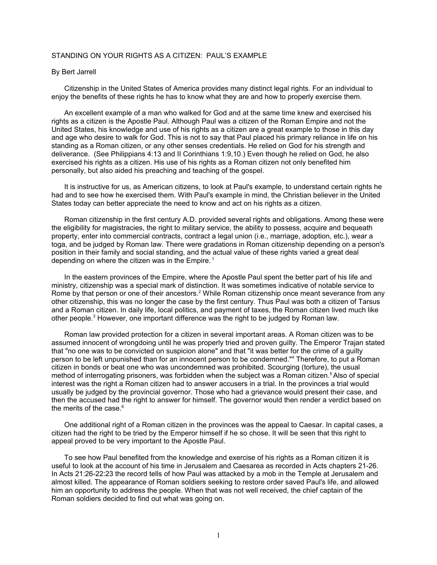## STANDING ON YOUR RIGHTS AS A CITIZEN: PAUL'S EXAMPLE

## By Bert Jarrell

Citizenship in the United States of America provides many distinct legal rights. For an individual to enjoy the benefits of these rights he has to know what they are and how to properly exercise them.

An excellent example of a man who walked for God and at the same time knew and exercised his rights as a citizen is the Apostle Paul. Although Paul was a citizen of the Roman Empire and not the United States, his knowledge and use of his rights as a citizen are a great example to those in this day and age who desire to walk for God. This is not to say that Paul placed his primary reliance in life on his standing as a Roman citizen, or any other senses credentials. He relied on God for his strength and deliverance. (See Philippians 4:13 and II Corinthians 1:9,10.) Even though he relied on God, he also exercised his rights as a citizen. His use of his rights as a Roman citizen not only benefited him personally, but also aided his preaching and teaching of the gospel.

It is instructive for us, as American citizens, to look at Paul's example, to understand certain rights he had and to see how he exercised them. With Paul's example in mind, the Christian believer in the United States today can better appreciate the need to know and act on his rights as a citizen.

Roman citizenship in the first century A.D. provided several rights and obligations. Among these were the eligibility for magistracies, the right to military service, the ability to possess, acquire and bequeath property, enter into commercial contracts, contract a legal union (i.e., marriage, adoption, etc.), wear a toga, and be judged by Roman law. There were gradations in Roman citizenship depending on a person's position in their family and social standing, and the actual value of these rights varied a great deal depending on where the citizen was in the Empire.<sup>[1](#page-4-0)</sup>

In the eastern provinces of the Empire, where the Apostle Paul spent the better part of his life and ministry, citizenship was a special mark of distinction. It was sometimes indicative of notable service to Rome by that person or one of their ancestors.<sup>[2](#page-4-1)</sup> While Roman citizenship once meant severance from any other citizenship, this was no longer the case by the first century. Thus Paul was both a citizen of Tarsus and a Roman citizen. In daily life, local politics, and payment of taxes, the Roman citizen lived much like other people.<sup>[3](#page-4-2)</sup> However, one important difference was the right to be judged by Roman law.

Roman law provided protection for a citizen in several important areas. A Roman citizen was to be assumed innocent of wrongdoing until he was properly tried and proven guilty. The Emperor Trajan stated that "no one was to be convicted on suspicion alone" and that "it was better for the crime of a guilty person to be left unpunished than for an innocent person to be condemned."[4](#page-4-3) Therefore, to put a Roman citizen in bonds or beat one who was uncondemned was prohibited. Scourging (torture), the usual method of interrogating prisoners, was forbidden when the subject was a Roman citizen.<sup>[5](#page-4-4)</sup> Also of special interest was the right a Roman citizen had to answer accusers in a trial. In the provinces a trial would usually be judged by the provincial governor. Those who had a grievance would present their case, and then the accused had the right to answer for himself. The governor would then render a verdict based on the merits of the case.<sup>[6](#page-4-5)</sup>

One additional right of a Roman citizen in the provinces was the appeal to Caesar. In capital cases, a citizen had the right to be tried by the Emperor himself if he so chose. It will be seen that this right to appeal proved to be very important to the Apostle Paul.

To see how Paul benefited from the knowledge and exercise of his rights as a Roman citizen it is useful to look at the account of his time in Jerusalem and Caesarea as recorded in Acts chapters 21-26. In Acts 21:26-22:23 the record tells of how Paul was attacked by a mob in the Temple at Jerusalem and almost killed. The appearance of Roman soldiers seeking to restore order saved Paul's life, and allowed him an opportunity to address the people. When that was not well received, the chief captain of the Roman soldiers decided to find out what was going on.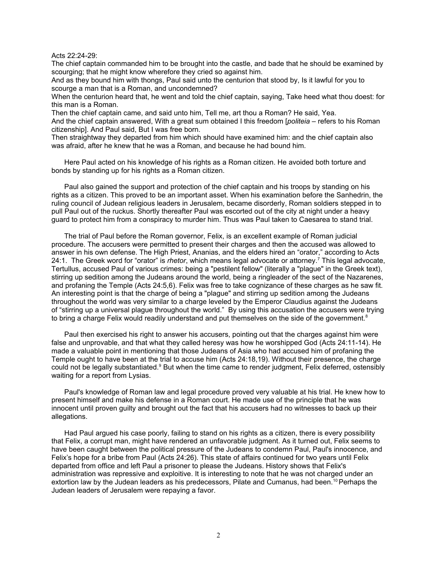Acts 22:24-29:

The chief captain commanded him to be brought into the castle, and bade that he should be examined by scourging; that he might know wherefore they cried so against him.

And as they bound him with thongs, Paul said unto the centurion that stood by, Is it lawful for you to scourge a man that is a Roman, and uncondemned?

When the centurion heard that, he went and told the chief captain, saying, Take heed what thou doest: for this man is a Roman.

Then the chief captain came, and said unto him, Tell me, art thou a Roman? He said, Yea. And the chief captain answered, With a great sum obtained I this freedom [*politeia* – refers to his Roman citizenship]. And Paul said, But I was free born.

Then straightway they departed from him which should have examined him: and the chief captain also was afraid, after he knew that he was a Roman, and because he had bound him.

Here Paul acted on his knowledge of his rights as a Roman citizen. He avoided both torture and bonds by standing up for his rights as a Roman citizen.

Paul also gained the support and protection of the chief captain and his troops by standing on his rights as a citizen. This proved to be an important asset. When his examination before the Sanhedrin, the ruling council of Judean religious leaders in Jerusalem, became disorderly, Roman soldiers stepped in to pull Paul out of the ruckus. Shortly thereafter Paul was escorted out of the city at night under a heavy guard to protect him from a conspiracy to murder him. Thus was Paul taken to Caesarea to stand trial.

The trial of Paul before the Roman governor, Felix, is an excellent example of Roman judicial procedure. The accusers were permitted to present their charges and then the accused was allowed to answer in his own defense. The High Priest, Ananias, and the elders hired an "orator," according to Acts 24:1. The Greek word for "orator" is *rhetor*, which means legal advocate or attorney.[7](#page-4-6) This legal advocate, Tertullus, accused Paul of various crimes: being a "pestilent fellow" (literally a "plague" in the Greek text), stirring up sedition among the Judeans around the world, being a ringleader of the sect of the Nazarenes, and profaning the Temple (Acts 24:5,6). Felix was free to take cognizance of these charges as he saw fit. An interesting point is that the charge of being a "plague" and stirring up sedition among the Judeans throughout the world was very similar to a charge leveled by the Emperor Claudius against the Judeans of "stirring up a universal plague throughout the world." By using this accusation the accusers were trying to bring a charge Felix would readily understand and put themselves on the side of the government.<sup>[8](#page-4-7)</sup>

Paul then exercised his right to answer his accusers, pointing out that the charges against him were false and unprovable, and that what they called heresy was how he worshipped God (Acts 24:11-14). He made a valuable point in mentioning that those Judeans of Asia who had accused him of profaning the Temple ought to have been at the trial to accuse him (Acts 24:18,19). Without their presence, the charge could not be legally substantiated.<sup>[9](#page-4-8)</sup> But when the time came to render judgment, Felix deferred, ostensibly waiting for a report from Lysias.

Paul's knowledge of Roman law and legal procedure proved very valuable at his trial. He knew how to present himself and make his defense in a Roman court. He made use of the principle that he was innocent until proven guilty and brought out the fact that his accusers had no witnesses to back up their allegations.

Had Paul argued his case poorly, failing to stand on his rights as a citizen, there is every possibility that Felix, a corrupt man, might have rendered an unfavorable judgment. As it turned out, Felix seems to have been caught between the political pressure of the Judeans to condemn Paul, Paul's innocence, and Felix's hope for a bribe from Paul (Acts 24:26). This state of affairs continued for two years until Felix departed from office and left Paul a prisoner to please the Judeans. History shows that Felix's administration was repressive and exploitive. It is interesting to note that he was not charged under an extortion law by the Judean leaders as his predecessors, Pilate and Cumanus, had been.<sup>[10](#page-4-9)</sup> Perhaps the Judean leaders of Jerusalem were repaying a favor.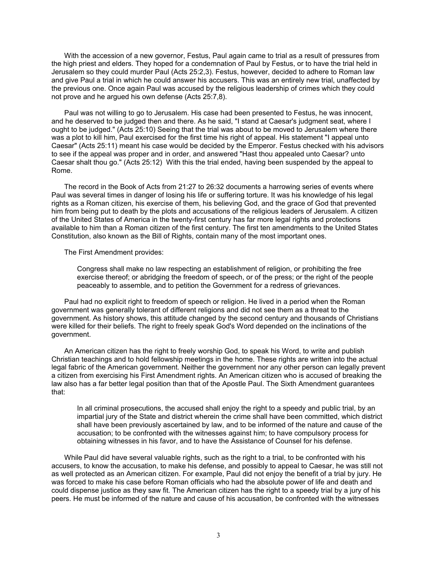With the accession of a new governor, Festus, Paul again came to trial as a result of pressures from the high priest and elders. They hoped for a condemnation of Paul by Festus, or to have the trial held in Jerusalem so they could murder Paul (Acts 25:2,3). Festus, however, decided to adhere to Roman law and give Paul a trial in which he could answer his accusers. This was an entirely new trial, unaffected by the previous one. Once again Paul was accused by the religious leadership of crimes which they could not prove and he argued his own defense (Acts 25:7,8).

Paul was not willing to go to Jerusalem. His case had been presented to Festus, he was innocent, and he deserved to be judged then and there. As he said, "I stand at Caesar's judgment seat, where I ought to be judged." (Acts 25:10) Seeing that the trial was about to be moved to Jerusalem where there was a plot to kill him, Paul exercised for the first time his right of appeal. His statement "I appeal unto Caesar" (Acts 25:11) meant his case would be decided by the Emperor. Festus checked with his advisors to see if the appeal was proper and in order, and answered "Hast thou appealed unto Caesar? unto Caesar shalt thou go." (Acts 25:12) With this the trial ended, having been suspended by the appeal to Rome.

The record in the Book of Acts from 21:27 to 26:32 documents a harrowing series of events where Paul was several times in danger of losing his life or suffering torture. It was his knowledge of his legal rights as a Roman citizen, his exercise of them, his believing God, and the grace of God that prevented him from being put to death by the plots and accusations of the religious leaders of Jerusalem. A citizen of the United States of America in the twenty-first century has far more legal rights and protections available to him than a Roman citizen of the first century. The first ten amendments to the United States Constitution, also known as the Bill of Rights, contain many of the most important ones.

The First Amendment provides:

Congress shall make no law respecting an establishment of religion, or prohibiting the free exercise thereof; or abridging the freedom of speech, or of the press; or the right of the people peaceably to assemble, and to petition the Government for a redress of grievances.

Paul had no explicit right to freedom of speech or religion. He lived in a period when the Roman government was generally tolerant of different religions and did not see them as a threat to the government. As history shows, this attitude changed by the second century and thousands of Christians were killed for their beliefs. The right to freely speak God's Word depended on the inclinations of the government.

An American citizen has the right to freely worship God, to speak his Word, to write and publish Christian teachings and to hold fellowship meetings in the home. These rights are written into the actual legal fabric of the American government. Neither the government nor any other person can legally prevent a citizen from exercising his First Amendment rights. An American citizen who is accused of breaking the law also has a far better legal position than that of the Apostle Paul. The Sixth Amendment guarantees that:

In all criminal prosecutions, the accused shall enjoy the right to a speedy and public trial, by an impartial jury of the State and district wherein the crime shall have been committed, which district shall have been previously ascertained by law, and to be informed of the nature and cause of the accusation; to be confronted with the witnesses against him; to have compulsory process for obtaining witnesses in his favor, and to have the Assistance of Counsel for his defense.

While Paul did have several valuable rights, such as the right to a trial, to be confronted with his accusers, to know the accusation, to make his defense, and possibly to appeal to Caesar, he was still not as well protected as an American citizen. For example, Paul did not enjoy the benefit of a trial by jury. He was forced to make his case before Roman officials who had the absolute power of life and death and could dispense justice as they saw fit. The American citizen has the right to a speedy trial by a jury of his peers. He must be informed of the nature and cause of his accusation, be confronted with the witnesses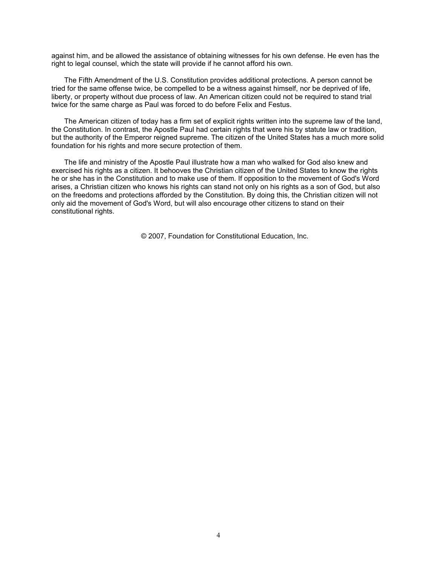against him, and be allowed the assistance of obtaining witnesses for his own defense. He even has the right to legal counsel, which the state will provide if he cannot afford his own.

The Fifth Amendment of the U.S. Constitution provides additional protections. A person cannot be tried for the same offense twice, be compelled to be a witness against himself, nor be deprived of life, liberty, or property without due process of law. An American citizen could not be required to stand trial twice for the same charge as Paul was forced to do before Felix and Festus.

The American citizen of today has a firm set of explicit rights written into the supreme law of the land, the Constitution. In contrast, the Apostle Paul had certain rights that were his by statute law or tradition, but the authority of the Emperor reigned supreme. The citizen of the United States has a much more solid foundation for his rights and more secure protection of them.

The life and ministry of the Apostle Paul illustrate how a man who walked for God also knew and exercised his rights as a citizen. It behooves the Christian citizen of the United States to know the rights he or she has in the Constitution and to make use of them. If opposition to the movement of God's Word arises, a Christian citizen who knows his rights can stand not only on his rights as a son of God, but also on the freedoms and protections afforded by the Constitution. By doing this, the Christian citizen will not only aid the movement of God's Word, but will also encourage other citizens to stand on their constitutional rights.

© 2007, Foundation for Constitutional Education, Inc.